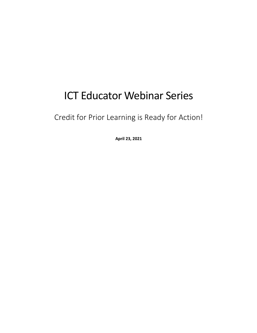# ICT Educator Webinar Series

Credit for Prior Learning is Ready for Action!

**April 23, 2021**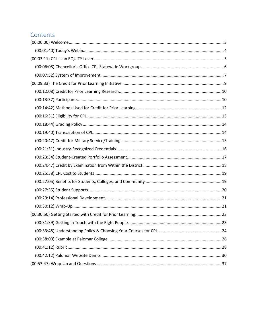### Contents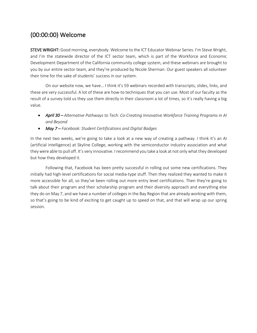# (00:00:00) Welcome

STEVE WRIGHT: Good morning, everybody. Welcome to the ICT Educator Webinar Series. I'm Steve Wright, and I'm the statewide director of the ICT sector team, which is part of the Workforce and Economic Development Department of the California community college system, and these webinars are brought to you by our entire sector team, and they're produced by Nicole Sherman. Our guest speakers all volunteer their time for the sake of students' success in our system.

On our website now, we have… I think it's 59 webinars recorded with transcripts, slides, links, and these are very successful. A lot of these are how-to techniques that you can use. Most of our faculty as the result of a survey told us they use them directly in their classroom a lot of times, so it's really having a big value.

- *April 30 Alternative Pathways to Tech: Co-Creating Innovative Workforce Training Programs in AI and Beyond*
- *May 7 Facebook: Student Certifications and Digital Badges*

In the next two weeks, we're going to take a look at a new way of creating a pathway. I think it's an AI (artificial intelligence) at Skyline College, working with the semiconductor industry association and what they were able to pull off. It's very innovative. I recommend you take a look at not only what they developed but how they developed it.

Following that, Facebook has been pretty successful in rolling out some new certifications. They initially had high-level certifications for social media-type stuff. Then they realized they wanted to make it more accessible for all, so they've been rolling out more entry level certifications. Then they're going to talk about their program and their scholarship program and their diversity approach and everything else they do on May 7, and we have a number of colleges in the Bay Region that are already working with them, so that's going to be kind of exciting to get caught up to speed on that, and that will wrap up our spring session.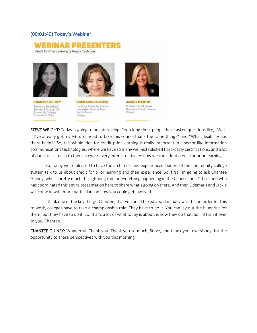#### (00:01:40) Today's Webinar





**CHANTEE GUINEY** Specialist, Educational Services & Support, CA Community Colleges Crancellor's Office



**ODEMARIS VALDIVIA** Instructor, Computer Science Information Systems Dept., Santa Monica College



**JACKIE MARTIN** Professor and Business Department Chair, Palomar College

STEVE WRIGHT: Today is going to be interesting. For a long time, people have asked questions like, "Well, if I've already got my A+, do I need to take this course that's the same thing?" and "What flexibility has there been?" So, this whole idea for credit prior learning is really important in a sector like information communications technologies, where we have so many well-established third-party certifications, and a lot of our classes teach to them, so we're very interested to see how we can adopt credit for prior learning.

So, today we're pleased to have the architects and experienced leaders of the community college system talk to us about credit for prior learning and their experience. So, first I'm going to ask Chantee Guiney, who is pretty much the lightning rod for everything happening in the Chancellor's Office, and who has coordinated this entire presentation here to share what's going on there. And then Odemaris and Jackie will come in with more particulars on how you could get involved.

I think one of the key things, Chantee, that you and I talked about initially was that in order for this to work, colleges have to take a championship role. They have to do it. You can lay out the blueprint for them, but they have to do it. So, that's a lot of what today is about, is how they do that. So, I'll turn it over to you, Chantee.

CHANTEE GUINEY: Wonderful. Thank you. Thank you so much, Steve, and thank you, everybody, for the opportunity to share perspectives with you this morning.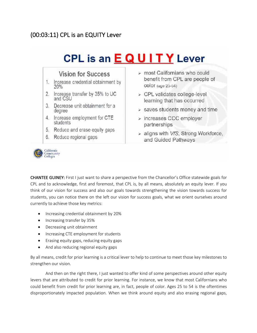## (00:03:11) CPL is an EQUITY Lever





CHANTEE GUINEY: First I just want to share a perspective from the Chancellor's Office statewide goals for CPL and to acknowledge, first and foremost, that CPL is, by all means, absolutely an equity lever. If you think of our vision for success and also our goals towards strengthening the vision towards success for students, you can notice there on the left our vision for success goals, what we orient ourselves around currently to achieve those key metrics:

- Increasing credential obtainment by 20%
- Increasing transfer by 35%
- Decreasing unit obtainment
- Increasing CTE employment for students
- Erasing equity gaps, reducing equity gaps
- And also reducing regional equity gaps

By all means, credit for prior learning is a critical lever to help to continue to meet those key milestones to strengthen our vision.

And then on the right there, I just wanted to offer kind of some perspectives around other equity levers that are attributed to credit for prior learning. For instance, we know that most Californians who could benefit from credit for prior learning are, in fact, people of color. Ages 25 to 54 is the oftentimes disproportionately impacted population. When we think around equity and also erasing regional gaps,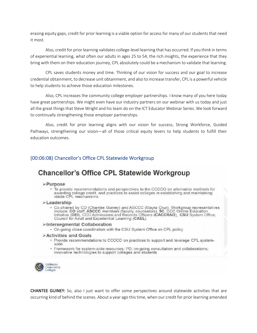erasing equity gaps, credit for prior learning is a viable option for access for many of our students that need it most.

Also, credit for prior learning validates college-level learning that has occurred. If you think in terms of experiential learning, what often our adults in ages 25 to 54, the rich insights, the experience that they bring with them on their education journey, CPL absolutely could be a mechanism to validate that learning.

CPL saves students money and time. Thinking of our vision for success and our goal to increase credential obtainment, to decrease unit obtainment, and also to increase transfer, CPL is a powerful vehicle to help students to achieve those education milestones.

Also, CPL increases the community college employer partnerships. I know many of you here today have great partnerships. We might even have our industry partners on our webinar with us today and just all the great things that Steve Wright and his team do on the ICT Educator Webinar Series. We look forward to continually strengthening those employer partnerships.

Also, credit for prior learning aligns with our vision for success, Strong Workforce, Guided Pathways, strengthening our vision—all of those critical equity levers to help students to fulfill their education outcomes.

### (00:06:08) Chancellor's Office CPL Statewide Workgroup

# **Chancellor's Office CPL Statewide Workgroup**

#### >Purpose

· To provide recommendations and perspectives to the CCCCO on alternative methods for awarding college credit, and practices to assist colleges in establishing and maintaining viable CPL mechanisms.

#### >Leadership

Co-chaired by CO (Chantée Guiney) and ASCCC (Mayra Cruz). Workgroup representatives<br>include: CO staff, ASCCC members (faculty, counselors), 5C, CCC Online Education<br>Initiative (OEI), CCC Admissions and Records Officers (CA Council for Adult and Experiential Learning (CAEL).

#### >Intersegmental Collaboration

. On-going close coordination with the CSU System Office on CPL policy

#### **Activities and Goals**

- · Provide recommendations to CCCCO on practices to support and leverage CPL systemwide
- · Framework for system-wide resources: PD: on-going consultation and collaborations: innovative technologies to support colleges and students.



CHANTEE GUINEY: So, also I just want to offer some perspectives around statewide activities that are occurring kind of behind the scenes. About a year ago this time, when our credit for prior learning amended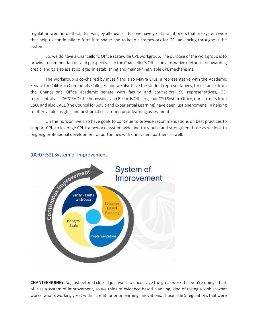regulation went into effect, that was, by all means… Just we have great practitioners that are system wide that help us continually to form into shape and to keep a framework for CPL advancing throughout the system.

So, we do have a Chancellor's Office statewide CPL workgroup. The purpose of the workgroup is to provide recommendations and perspectives to the Chancellor's Office on alternative methods for awarding credit, and to also assist colleges in establishing and maintaining viable CPL mechanisms.

The workgroup is co-chaired by myself and also Mayra Cruz, a representative with the Academic Senate for California Community Colleges, and we also have the student representatives, for instance, from the Chancellor's Office academic senate with faculty and counselors, 5C representatives, OEI representatives, CACCRAO (the Admissions and Records Officers), our CSU System Office, our partners from CSU, and also CAEL (the Council for Adult and Experiential Learning) have been just phenomenal in helping to offer viable insights and best practices around prior learning assessment.

On the horizon, we also have goals to continue to provide recommendations on best practices to support CPL, to leverage CPL frameworks system wide and truly build and strengthen those as we look to ongoing professional development opportunities with our system partners as well.



CHANTEE GUINEY: So, just before I close, I just want to encourage the great work that you're doing. Think of it as a system of improvement, so we think of evidence-based planning, kind of taking a look at what works, what's working great within credit for prior learning innovations. Those Title 5 regulations that were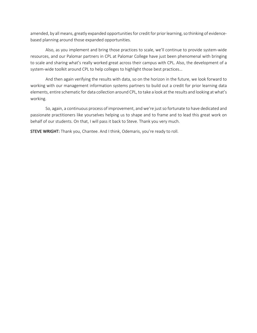amended, by all means, greatly expanded opportunities for credit for prior learning, so thinking of evidencebased planning around those expanded opportunities.

Also, as you implement and bring those practices to scale, we'll continue to provide system-wide resources, and our Palomar partners in CPL at Palomar College have just been phenomenal with bringing to scale and sharing what's really worked great across their campus with CPL. Also, the development of a system-wide toolkit around CPL to help colleges to highlight those best practices…

And then again verifying the results with data, so on the horizon in the future, we look forward to working with our management information systems partners to build out a credit for prior learning data elements, entire schematic for data collection around CPL, to take a look at the results and looking at what's working.

So, again, a continuous process of improvement, and we're just so fortunate to have dedicated and passionate practitioners like yourselves helping us to shape and to frame and to lead this great work on behalf of our students. On that, I will pass it back to Steve. Thank you very much.

STEVE WRIGHT: Thank you, Chantee. And I think, Odemaris, you're ready to roll.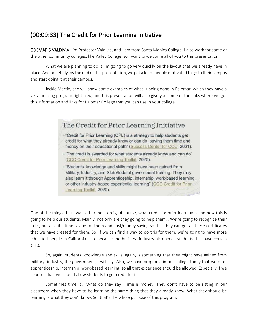### (00:09:33) The Credit for Prior Learning Initiative

ODEMARIS VALDIVIA: I'm Professor Valdivia, and I am from Santa Monica College. I also work for some of the other community colleges, like Valley College, so I want to welcome all of you to this presentation.

What we are planning to do is I'm going to go very quickly on the layout that we already have in place. And hopefully, by the end of this presentation, we get a lot of people motivated to go to their campus and start doing it at their campus.

Jackie Martin, she will show some examples of what is being done in Palomar, which they have a very amazing program right now, and this presentation will also give you some of the links where we got this information and links for Palomar College that you can use in your college.

### The Credit for Prior Learning Initiative

- +"Credit for Prior Learning (CPL) is a strategy to help students get credit for what they already know or can do, saving them time and money on their educational path" (Success Center for CCC, 2021).
- +"The credit is awarded for what students already know and can do" (CCC Credit for Prior Learning Toolkit, 2020).
- +"Students' knowledge and skills might have been gained from Military, Industry, and State/federal government training. They may also learn it through Apprenticeship, internship, work-based learning, or other industry-based experiential learning" (CCC Credit for Prior Learning Toolkit, 2020).

One of the things that I wanted to mention is, of course, what credit for prior learning is and how this is going to help our students. Mainly, not only are they going to help them… We're going to recognize their skills, but also it's time saving for them and cost/money saving so that they can get all these certificates that we have created for them. So, if we can find a way to do this for them, we're going to have more educated people in California also, because the business industry also needs students that have certain skills.

So, again, students' knowledge and skills, again, is something that they might have gained from military, industry, the government, I will say. Also, we have programs in our college today that we offer apprenticeship, internship, work-based learning, so all that experience should be allowed. Especially if we sponsor that, we should allow students to get credit for it.

Sometimes time is… What do they say? Time is money. They don't have to be sitting in our classroom when they have to be learning the same thing that they already know. What they should be learning is what they don't know. So, that's the whole purpose of this program.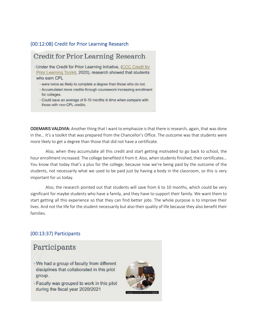#### (00:12:08) Credit for Prior Learning Research

# Credit for Prior Learning Research

+Under the Credit for Prior Learning Initiative, (CCC Credit for Prior Learning Toolkit, 2020), research showed that students who earn CPL

- were twice as likely to complete a degree than those who do not.
- +Accumulated more credits through coursework increasing enrollment for colleges.
- -Could save an average of 6-10 months in time when compare with those with non-CPL credits.

ODEMARIS VALDIVIA: Another thing that I want to emphasize is that there is research, again, that was done in the… It's a toolkit that was prepared from the Chancellor's Office. The outcome was that students were more likely to get a degree than those that did not have a certificate.

Also, when they accumulate all this credit and start getting motivated to go back to school, the hour enrollment increased. The college benefited it from it. Also, when students finished, their certificates… You know that today that's a plus for the college, because now we're being paid by the outcome of the students, not necessarily what we used to be paid just by having a body in the classroom, so this is very important for us today.

Also, the research pointed out that students will save from 6 to 10 months, which could be very significant for maybe students who have a family, and they have to support their family. We want them to start getting all this experience so that they can find better jobs. The whole purpose is to improve their lives. And not the life for the student necessarily but also their quality of life because they also benefit their families.

### (00:13:37) Participants

### Participants

- +We had a group of faculty from different disciplines that collaborated in this pilot group.
- +Faculty was grouped to work in this pilot during the fiscal year 2020/2021

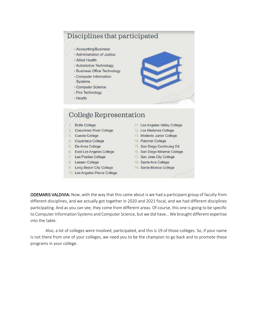# Disciplines that participated

- + Accounting/Business
- + Administration of Justice
- + Allied Health
- + Automotive Technology
- +Business Office Technology + Computer Information
- Systems
- + Computer Science
- +Fire Technology
- +Health



# College Representation

- **Butte College** 15
- 2 Cosumnes River College
- 3 Cuesta College
- 4. Cuyamaca College
- 5. De Anza College
- 6. East Los Angeles College
- 7 Las Positas College
- 8. Lassen College
- 9. Long Beach City College
- 10. Los Angeles Pierce College
- 11. Los Angeles Valley College
- 12. Los Medanos College
- 13. Modesto Junior College
- 14. Palomar College
- 15. San Diego Continuing Ed
- 16. San Diego Miramar College
- 17. San Jose City College
- 18. Santa Ana College
- 19. Santa Monica College

ODEMARIS VALDIVIA: Now, with the way that this came about is we had a participant group of faculty from different disciplines, and we actually got together in 2020 and 2021 fiscal, and we had different disciplines participating. And as you can see, they come from different areas. Of course, this one is going to be specific to Computer Information Systems and Computer Science, but we did have… We brought different expertise into the table.

Also, a lot of colleges were involved, participated, and this is 19 of those colleges. So, if your name is not there from one of your colleges, we need you to be the champion to go back and to promote these programs in your college.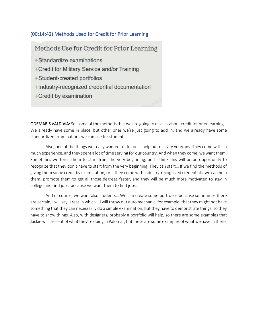#### (00:14:42) Methods Used for Credit for Prior Learning

Methods Use for Credit for Prior Learning +Standardize examinations +Credit for Military Service and/or Training +Student-created portfolios +Industry-recognized credential documentation +Credit by examination

ODEMARIS VALDIVIA: So, some of the methods that we are going to discuss about credit for prior learning… We already have some in place, but other ones we're just going to add in, and we already have some standardized examinations we can use for students.

Also, one of the things we really wanted to do too is help our military veterans. They come with so much experience, and they spent a lot of time serving for our country. And when they come, we want them. Sometimes we force them to start from the very beginning, and I think this will be an opportunity to recognize that they don't have to start from the very beginning. They can start… If we find the methods of giving them some credit by examination, or if they come with industry-recognized credentials, we can help them, promote them to get all those degrees faster, and they will be much more motivated to stay in college and find jobs, because we want them to find jobs.

And of course, we want also students… We can create some portfolios because sometimes there are certain, I will say, areas in which… I will throw out auto mechanic, for example, that they might not have something that they can necessarily do a simple examination, but they have to demonstrate things, so they have to show things. Also, with designers, probably a portfolio will help, so there are some examples that Jackie will present of what they're doing in Palomar, but these are some examples of what we have in there.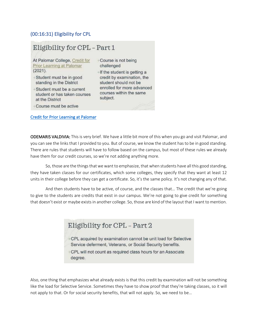#### (00:16:31) Eligibility for CPL

### Eligibility for CPL - Part 1

At Palomar College, Credit for Prior Learning at Palomar  $(2021).$ 

- Student must be in good standing in the District
- Student must be a current student or has taken courses at the District
- Course is not being challenged +If the student is getting a
- credit by examination, the student should not be enrolled for more advanced courses within the same subject.
- Course must be active

Credit for Prior Learning at Palomar

ODEMARIS VALDIVIA: This is very brief. We have a little bit more of this when you go and visit Palomar, and you can see the links that I provided to you. But of course, we know the student has to be in good standing. There are rules that students will have to follow based on the campus, but most of these rules we already have them for our credit courses, so we're not adding anything more.

So, those are the things that we want to emphasize, that when students have all this good standing, they have taken classes for our certificates, which some colleges, they specify that they want at least 12 units in their college before they can get a certificate. So, it's the same policy. It's not changing any of that.

And then students have to be active, of course, and the classes that… The credit that we're going to give to the students are credits that exist in our campus. We're not going to give credit for something that doesn't exist or maybe exists in another college. So, those are kind of the layout that I want to mention.

# Eligibility for CPL - Part 2

- +CPL acquired by examination cannot be unit load for Selective Service deferment, Veterans, or Social Security benefits.
- +CPL will not count as required class hours for an Associate degree.

Also, one thing that emphasizes what already exists is that this credit by examination will not be something like the load for Selective Service. Sometimes they have to show proof that they're taking classes, so it will not apply to that. Or for social security benefits, that will not apply. So, we need to be…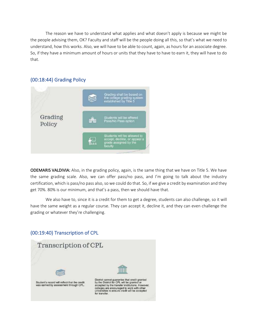The reason we have to understand what applies and what doesn't apply is because we might be the people advising them, OK? Faculty and staff will be the people doing all this, so that's what we need to understand, how this works. Also, we will have to be able to count, again, as hours for an associate degree. So, if they have a minimum amount of hours or units that they have to have to earn it, they will have to do that.

#### (00:18:44) Grading Policy



ODEMARIS VALDIVIA: Also, in the grading policy, again, is the same thing that we have on Title 5. We have the same grading scale. Also, we can offer pass/no pass, and I'm going to talk about the industry certification, which is pass/no pass also, so we could do that. So, if we give a credit by examination and they get 70%. 80% is our minimum, and that's a pass, then we should have that.

We also have to, since it is a credit for them to get a degree, students can also challenge, so it will have the same weight as a regular course. They can accept it, decline it, and they can even challenge the grading or whatever they're challenging.

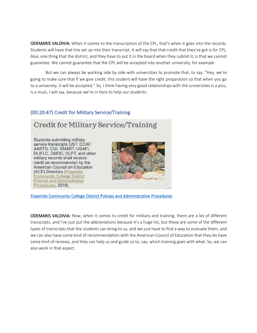ODEMARIS VALDIVIA: When it comes to the transcription of the CPL, that's when it goes into the records. Students will have that line set up into their transcript. It will say that that credit that they've got is for CPL. Also, one thing that the district, and they have to put it in the board when they submit it, is that we cannot guarantee. We cannot guarantee that the CPL will be accepted into another university, for example.

But we can always be working side by side with universities to promote that, to say, "Hey, we're going to make sure that if we give credit, this student will have the right preparation so that when you go to a university, it will be accepted." So, I think having very good relationships with the universities is a plus, is a must, I will say, because we're in here to help our students.

### (00:20:47) Credit for Military Service/Training

# Credit for Military Service/Training

Students submitting military service transcripts (JST, CCAF, AARTS, CGI, SMART, USAFI, DLIFLC, DMDC, DLPT, and other military records shall receive credit as recommended by the American Council on Education (ACE) Directory (Yosemite **Community College District** Policies and Administrative Procedures, 2018).



Yosemite Community College District Policies and Administrative Procedures

ODEMARIS VALDIVIA: Now, when it comes to credit for military and training, there are a lot of different transcripts, and I've just put the abbreviations because it's a huge list, but these are some of the different types of transcripts that the students can bring to us, and we just have to find a way to evaluate them, and we can also have some kind of recommendation with the American Council of Education that they do have some kind of reviews, and they can help us and guide us to, say, which training goes with what. So, we can also work in that aspect.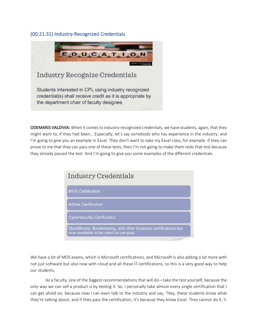#### (00:21:31) Industry-Recognized Credentials



Students interested in CPL using industry recognized credential(s) shall receive credit as it is appropriate by the department chair of faculty designee.

ODEMARIS VALDIVIA: When it comes to industry-recognized credentials, we have students, again, that they might want to, if they had been… Especially, let's say somebody who has experience in the industry, and I'm going to give you an example in Excel. They don't want to take my Excel class, for example. If they can prove to me that they can pass one of these tests, then I'm not going to make them redo that test because they already passed the test. And I'm going to give you some examples of the different credentials.

| <b>MOS Certification</b>   |                             |  |
|----------------------------|-----------------------------|--|
| <b>Adobe Certification</b> |                             |  |
|                            | Cybersecurity Certification |  |

We have a lot of MOS exams, which is Microsoft certifications, and Microsoft is also adding a lot more with not just software but also now with cloud and all these IT certifications, so this is a very good way to help our students.

As a faculty, one of the biggest recommendations that will do—take the test yourself, because the only way we can sell a product is by testing it. So, I personally take almost every single certification that I can get ahold on, because now I can even talk to the industry and say, "Hey, these students know what they're talking about, and if they pass the certification, it's because they know Excel. They cannot do X, Y,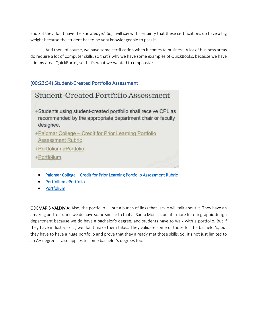and Z if they don't have the knowledge." So, I will say with certainty that these certifications do have a big weight because the student has to be very knowledgeable to pass it.

And then, of course, we have some certification when it comes to business. A lot of business areas do require a lot of computer skills, so that's why we have some examples of QuickBooks, because we have it in my area, QuickBooks, so that's what we wanted to emphasize.

### (00:23:34) Student-Created Portfolio Assessment

| Student-Created Portfolio Assessment                                                                                                      |
|-------------------------------------------------------------------------------------------------------------------------------------------|
| +Students using student-created portfolio shall receive CPL as<br>recommended by the appropriate department chair or faculty<br>designee. |
| +Palomar College - Credit for Prior Learning Portfolio<br><b>Assessment Rubric</b>                                                        |
| +Portfolium ePortfolio                                                                                                                    |
| +Portfolium                                                                                                                               |

- Palomar College Credit for Prior Learning Portfolio Assessment Rubric
- Portfolium ePortfolio
- Portfolium

ODEMARIS VALDIVIA: Also, the portfolio… I put a bunch of links that Jackie will talk about it. They have an amazing portfolio, and we do have some similar to that at Santa Monica, but it's more for our graphic design department because we do have a bachelor's degree, and students have to walk with a portfolio. But if they have industry skills, we don't make them take… They validate some of those for the bachelor's, but they have to have a huge portfolio and prove that they already met those skills. So, it's not just limited to an AA degree. It also applies to some bachelor's degrees too.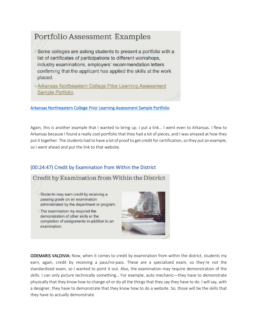# Portfolio Assessment Examples

+Some colleges are asking students to present a portfolio with a list of certificates of participations to different workshops. industry examinations, employers' recommendation letters confirming that the applicant has applied the skills at the work placed.

+Arkansas Northeastern College Prior Learning Assessment Sample Portfolio

Arkansas Northeastern College Prior Learning Assessment Sample Portfolio

Again, this is another example that I wanted to bring up. I put a link… I went even to Arkansas. I flew to Arkansas because I found a really cool portfolio that they had a lot of pieces, and I was amazed at how they put it together. The students had to have a lot of proof to get credit for certification, so they put an example, so I went ahead and put the link to that website.

### (00:24:47) Credit by Examination from Within the District

### Credit by Examination from Within the District

- Students may earn credit by receiving a passing grade on an examination administrated by the department or program.
- The examination my required the demonstration of other skills or the completion of assignments in addition to an examination.



ODEMARIS VALDIVIA: Now, when it comes to credit by examination from within the district, students my earn, again, credit by receiving a pass/no-pass. These are a specialized exam, so they're not the standardized exam, so I wanted to point it out. Also, the examination may require demonstration of the skills. I can only picture technically something… For example, auto mechanic—they have to demonstrate physically that they know how to change oil or do all the things that they say they have to do. I will say, with a designer, they have to demonstrate that they know how to do a website. So, those will be the skills that they have to actually demonstrate.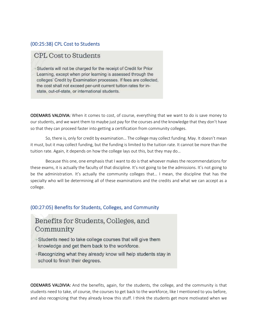#### (00:25:38) CPL Cost to Students

### **CPL Cost to Students**

+Students will not be charged for the receipt of Credit for Prior Learning, except when prior learning is assessed through the colleges' Credit by Examination processes. If fees are collected, the cost shall not exceed per-unit current tuition rates for instate, out-of-state, or international students.

ODEMARIS VALDIVIA: When it comes to cost, of course, everything that we want to do is save money to our students, and we want them to maybe just pay for the courses and the knowledge that they don't have so that they can proceed faster into getting a certification from community colleges.

So, there is, only for credit by examination… The college may collect funding. May. It doesn't mean it must, but it may collect funding, but the funding is limited to the tuition rate. It cannot be more than the tuition rate. Again, it depends on how the college lays out this, but they may do…

Because this one, one emphasis that I want to do is that whoever makes the recommendations for these exams, it is actually the faculty of that discipline. It's not going to be the admissions. It's not going to be the administration. It's actually the community colleges that… I mean, the discipline that has the specialty who will be determining all of these examinations and the credits and what we can accept as a college.

### (00:27:05) Benefits for Students, Colleges, and Community

# Benefits for Students, Colleges, and Community

- +Students need to take college courses that will give them knowledge and get them back to the workforce.
- +Recognizing what they already know will help students stay in school to finish their degrees.

ODEMARIS VALDIVIA: And the benefits, again, for the students, the college, and the community is that students need to take, of course, the courses to get back to the workforce, like I mentioned to you before, and also recognizing that they already know this stuff. I think the students get more motivated when we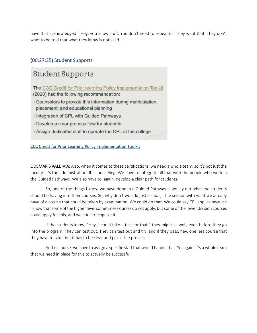have that acknowledged: "Hey, you know stuff. You don't need to repeat it." They want that. They don't want to be told that what they know is not valid.

### (00:27:35) Student Supports

# **Student Supports**

The CCC Credit for Prior learning Policy Implementation Toolkit (2020) had the following recommendation:

- +Counselors to provide this information during matriculation, placement, and educational planning
- +Integration of CPL with Guided Pathways
- +Develop a clear process flow for students
- +Assign dedicated staff to operate the CPL at the college

CCC Credit for Prior Learning Policy Implementation Toolkit

ODEMARIS VALDIVIA: Also, when it comes to these certifications, we need a whole team, so it's not just the faculty. It's the administration. It's counseling. We have to integrate all that with the people who work in the Guided Pathways. We also have to, again, develop a clear path for students.

So, one of the things I know we have done in a Guided Pathway is we lay out what the students should be having into their courses. So, why don't we add just a small, little section with what we already have of a course that could be taken by examination. We could do that. We could say CPL applies because I know that some of the higher level sometimes courses do not apply, but some of the lower division courses could apply for this, and we could recognize it.

If the students know, "Hey, I could take a test for that," they might as well, even before they go into the program. They can test out. They can test out and try, and if they pass, hey, one less course that they have to take, but it has to be clear and put in the process.

And of course, we have to assign a specific staff that would handle that. So, again, it's a whole team that we need in place for this to actually be successful.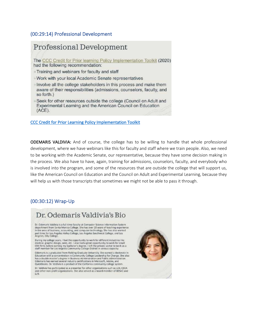#### (00:29:14) Professional Development

### Professional Development The CCC Credit for Prior learning Policy Implementation Toolkit (2020) had the following recommendation: +Training and webinars for faculty and staff Work with your local Academic Senate representatives +Involve all the college stakeholders in this process and make them aware of their responsibilities (admissions, counselors, faculty, and so forth.) Seek for other resources outside the college (Council on Adult and Experimental Learning and the American Council on Education  $(ACE)$ .

#### CCC Credit for Prior Learning Policy Implementation Toolkit

ODEMARIS VALDIVIA: And of course, the college has to be willing to handle that whole professional development, where we have webinars like this for faculty and staff where we train people. Also, we need to be working with the Academic Senate, our representative, because they have some decision making in the process. We also have to have, again, training for admissions, counselors, faculty, and everybody who is involved into the program, and some of the resources that are outside the college that will support us, like the American Council on Education and the Council on Adult and Experimental Learning, because they will help us with those transcripts that sometimes we might not be able to pass it through.

### (00:30:12) Wrap-Up

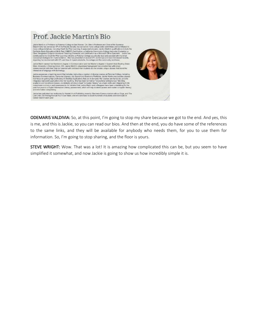

ODEMARIS VALDIVIA: So, at this point, I'm going to stop my share because we got to the end. And yes, this is me, and this is Jackie, so you can read our bios. And then at the end, you do have some of the references to the same links, and they will be available for anybody who needs them, for you to use them for information. So, I'm going to stop sharing, and the floor is yours.

STEVE WRIGHT: Wow. That was a lot! It is amazing how complicated this can be, but you seem to have simplified it somewhat, and now Jackie is going to show us how incredibly simple it is.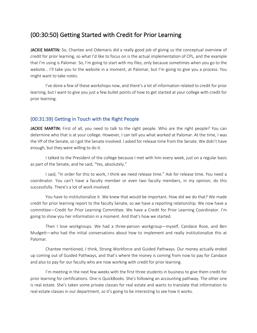### (00:30:50) Getting Started with Credit for Prior Learning

JACKIE MARTIN: So, Chantee and Odemaris did a really good job of giving us the conceptual overview of credit for prior learning, so what I'd like to focus on is the actual implementation of CPL, and the example that I'm using is Palomar. So, I'm going to start with my files, only because sometimes when you go to the website… I'll take you to the website in a moment, at Palomar, but I'm going to give you a process. You might want to take notes.

I've done a few of these workshops now, and there's a lot of information related to credit for prior learning, but I want to give you just a few bullet points of how to get started at your college with credit for prior learning.

#### (00:31:39) Getting in Touch with the Right People

JACKIE MARTIN: First of all, you need to talk to the right people. Who are the right people? You can determine who that is at your college. However, I can tell you what worked at Palomar. At the time, I was the VP of the Senate, so I got the Senate involved. I asked for release time from the Senate. We didn't have enough, but they were willing to do it.

I talked to the President of the college because I met with him every week, just on a regular basis as part of the Senate, and he said, "Yes, absolutely."

I said, "In order for this to work, I think we need release time." Ask for release time. You need a coordinator. You can't have a faculty member or even two faculty members, in my opinion, do this successfully. There's a lot of work involved.

You have to institutionalize it. We knew that would be important. How did we do that? We made credit for prior learning report to the faculty Senate, so we have a reporting relationship. We now have a committee—Credit for Prior Learning Committee. We have a Credit for Prior Learning Coordinator. I'm going to show you her information in a moment. And that's how we started.

Then I love workgroups. We had a three-person workgroup—myself, Candace Rose, and Ben Mudgett—who had the initial conversations about how to implement and really institutionalize this at Palomar.

Chantee mentioned, I think, Strong Workforce and Guided Pathways. Our money actually ended up coming out of Guided Pathways, and that's where the money is coming from now to pay for Candace and also to pay for our faculty who are now working with credit for prior learning.

I'm meeting in the next few weeks with the first three students in business to give them credit for prior learning for certifications. One is QuickBooks. She's following an accounting pathway. The other one is real estate. She's taken some private classes for real estate and wants to translate that information to real estate classes in our department, so it's going to be interesting to see how it works.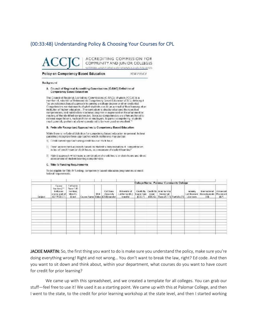### (00:33:48) Understanding Policy & Choosing Your Courses for CPL



Policy on Competency Based Education

**NEW POLICY** 

**Backnowind** 

A Council of Regional Accrediting Commissions (C-RAC) Definition of Competency Based Education

The Council of Regional Accrediting Commissions (C-RAC), of which ACCJC is a member of, adopted a Statement on Competency-Gased Education (CDE), defining if<br>"as an outcomes based approach to saming a college degree or other credential. Competencies are statements of what students can do as a result of their learning at an institution of higher education... The curriculum is structured around the specified competencies, and sabsfactory ecademic progress is expressed as the attainment or mastery of the identified competencies. Because competencies are often anchored to external expectations, such as those of employers, to pass a competency, students must game ally perform at a firm/considered to be were good or excellent."

#### B. Federally Recognized Approaches to Competency Based Education

While there is no faderal delinition for computericy based education in general, federal guidelines recognize three approaches which institutions may pursue.

- 1) Credit-based approach using credit hour or clock hour.
- 2) Direct assessment approach based on student's demonstration of competencies. in lieu of credit hours or clock hours, as a measure of student learning?
- 3) Hybrid approach which uses a combination of credit hours or clock hours and direct assessment of student learning competendes.

#### C. Title IV Funding Requirements

To be eligible for Title IV funding, competency based education programs must meet. federal requirements.

|         |                                                                          |                                                            |                     |                                                              |                                                                            |                                      |       | College Name: Palomar Community College                                              |                                                            |                                        |                                |
|---------|--------------------------------------------------------------------------|------------------------------------------------------------|---------------------|--------------------------------------------------------------|----------------------------------------------------------------------------|--------------------------------------|-------|--------------------------------------------------------------------------------------|------------------------------------------------------------|----------------------------------------|--------------------------------|
| Subject | Course<br>Number [""<br>Indicates<br>course part of<br><b>ADTMSSISTI</b> | California<br>State CJD<br>Nember.<br>https://c-<br>id net | <b>SATT</b><br>Unit | Cal Stata<br>University.<br>Course Name Value (C5U) transfer | <b>LISTEN CREATING COM</b><br>University of<br>Latifornia (UL)<br>transfer | Licam Page<br><b>ICBE-11 ICBE-G)</b> | Exam. | Credit By Credit By Joint Service<br><b>Inahoonpt</b><br>Fass iJST-F1 Portfolio [F1] | <b>ARESTEAD</b><br>noustry.<br>Cortifications<br>Licensure | International<br>Baccalaure sto<br>1H) | Advanced<br>Places ont<br>46.1 |
|         |                                                                          |                                                            |                     |                                                              |                                                                            |                                      |       |                                                                                      |                                                            |                                        |                                |
|         |                                                                          |                                                            |                     |                                                              |                                                                            |                                      |       |                                                                                      |                                                            |                                        |                                |
|         |                                                                          |                                                            |                     |                                                              |                                                                            |                                      |       |                                                                                      |                                                            |                                        |                                |
|         |                                                                          |                                                            |                     |                                                              |                                                                            |                                      |       |                                                                                      |                                                            |                                        |                                |
|         |                                                                          |                                                            |                     |                                                              |                                                                            |                                      |       |                                                                                      |                                                            |                                        |                                |
|         |                                                                          |                                                            |                     |                                                              |                                                                            |                                      |       |                                                                                      |                                                            |                                        |                                |
|         |                                                                          |                                                            |                     |                                                              |                                                                            |                                      |       |                                                                                      |                                                            |                                        |                                |

JACKIE MARTIN: So, the first thing you want to do is make sure you understand the policy, make sure you're doing everything wrong! Right and not wrong… You don't want to break the law, right? Ed code. And then you want to sit down and think about, within your department, what courses do you want to have count for credit for prior learning?

We came up with this spreadsheet, and we created a template for all colleges. You can grab our stuff—feel free to use it! We used it as a starting point. We came up with this at Palomar College, and then I went to the state, to the credit for prior learning workshop at the state level, and then I started working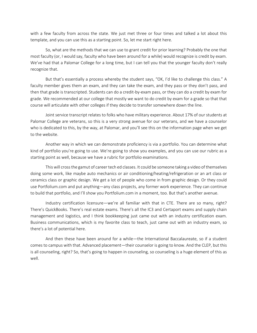with a few faculty from across the state. We just met three or four times and talked a lot about this template, and you can use this as a starting point. So, let me start right here.

So, what are the methods that we can use to grant credit for prior learning? Probably the one that most faculty (or, I would say, faculty who have been around for a while) would recognize is credit by exam. We've had that a Palomar College for a long time, but I can tell you that the younger faculty don't really recognize that.

But that's essentially a process whereby the student says, "OK, I'd like to challenge this class." A faculty member gives them an exam, and they can take the exam, and they pass or they don't pass, and then that grade is transcripted. Students can do a credit-by-exam pass, or they can do a credit by exam for grade. We recommended at our college that mostly we want to do credit by exam for a grade so that that course will articulate with other colleges if they decide to transfer somewhere down the line.

Joint service transcript relates to folks who have military experience. About 17% of our students at Palomar College are veterans, so this is a very strong avenue for our veterans, and we have a counselor who is dedicated to this, by the way, at Palomar, and you'll see this on the information page when we get to the website.

Another way in which we can demonstrate proficiency is via a portfolio. You can determine what kind of portfolio you're going to use. We're going to show you examples, and you can use our rubric as a starting point as well, because we have a rubric for portfolio examinations.

This will cross the gamut of career tech ed classes. It could be someone taking a video of themselves doing some work, like maybe auto mechanics or air conditioning/heating/refrigeration or an art class or ceramics class or graphic design. We get a lot of people who come in from graphic design. Or they could use Portfolium.com and put anything—any class projects, any former work experience. They can continue to build that portfolio, and I'll show you Portfolium.com in a moment, too. But that's another avenue.

Industry certification licensure—we're all familiar with that in CTE. There are so many, right? There's QuickBooks. There's real estate exams. There's all the IC3 and Certaport exams and supply chain management and logistics, and I think bookkeeping just came out with an industry certification exam. Business communications, which is my favorite class to teach, just came out with an industry exam, so there's a lot of potential here.

And then these have been around for a while—the International Baccalaureate, so if a student comes to campus with that. Advanced placement—their counselor is going to know. And the CLEP, but this is all counseling, right? So, that's going to happen in counseling, so counseling is a huge element of this as well.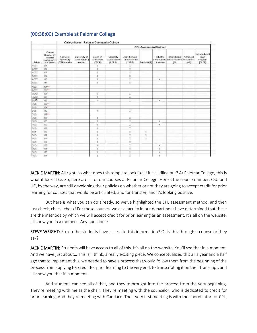|                   |                                                                   |                                                  | College Name: Palomar Community College       |                                              |                                    |                                              |               |                       |                                                               |                        |                                                  |
|-------------------|-------------------------------------------------------------------|--------------------------------------------------|-----------------------------------------------|----------------------------------------------|------------------------------------|----------------------------------------------|---------------|-----------------------|---------------------------------------------------------------|------------------------|--------------------------------------------------|
|                   |                                                                   | <b>CPL Assessment Method</b>                     |                                               |                                              |                                    |                                              |               |                       |                                                               |                        |                                                  |
| Sebject           | Course<br>Number en<br>indicable<br>course part of<br>ALTA SSIST) | Cal Stole<br><b>Heavensity</b><br>[CSU] transfer | this eraity of<br>California (EE)<br>traculer | Decit By<br><b>Exam Pass</b><br><b>CBEPS</b> | Credit By<br>Long Grade<br>(CDE-G) | Joint Service<br>Transcript Pass:<br>(357.9) | Portfolio (P) | Industry<br>Licensure | wiemational.<br>Certification: Baccalaurease Placement<br>051 | Advanced<br><b>MPI</b> | College Level<br>Exam<br>Program<br><b>CLEPS</b> |
| ACCT              | 101                                                               |                                                  |                                               | X                                            |                                    | Ï                                            |               |                       |                                                               |                        |                                                  |
| ACCT              | $+04$                                                             |                                                  |                                               | x                                            |                                    | r                                            |               |                       |                                                               |                        |                                                  |
| ACCT              | 105                                                               |                                                  |                                               | ¥                                            |                                    | x                                            |               |                       |                                                               |                        |                                                  |
| ACCT              | 107                                                               |                                                  |                                               | ¥.                                           |                                    | <b>Links</b><br>¥.                           |               |                       |                                                               |                        |                                                  |
| ACCT              | 110                                                               |                                                  |                                               | x                                            |                                    | Ï                                            |               | $\lambda$             |                                                               |                        |                                                  |
| ACCT.             | $\mathbf{t}$                                                      |                                                  |                                               | ¥                                            |                                    | ¥.                                           |               |                       |                                                               |                        |                                                  |
| ACCT              | $201***$                                                          |                                                  |                                               |                                              |                                    |                                              |               |                       |                                                               |                        |                                                  |
| ACCI              | 202 <sup>ma</sup>                                                 |                                                  |                                               |                                              |                                    |                                              |               |                       |                                                               |                        |                                                  |
| <b>BMUT</b>       | 101                                                               |                                                  |                                               | X.                                           |                                    | ă.                                           |               |                       |                                                               |                        |                                                  |
| <b>BIMG!</b>      | 105                                                               |                                                  |                                               | ă                                            |                                    | ×                                            |               |                       |                                                               |                        |                                                  |
| Star <sup>2</sup> | 152                                                               |                                                  |                                               | R                                            |                                    | ä                                            |               | X                     |                                                               |                        |                                                  |
| 3US               | 100mm                                                             |                                                  |                                               |                                              |                                    |                                              |               |                       |                                                               |                        |                                                  |
| aus.              | $104^{3+4}$                                                       |                                                  |                                               |                                              |                                    |                                              |               |                       |                                                               |                        |                                                  |
| 308               | 110                                                               |                                                  |                                               | X.                                           |                                    | 面                                            |               |                       |                                                               |                        |                                                  |
| <b>DUG</b>        | $117**$                                                           |                                                  |                                               |                                              |                                    |                                              |               |                       |                                                               |                        |                                                  |
| 305               | 125                                                               |                                                  |                                               | ĸ                                            |                                    | X.                                           |               |                       |                                                               |                        |                                                  |
| 用田                | 120                                                               |                                                  |                                               | x                                            |                                    | x                                            |               | $\mathbf{y}$          |                                                               |                        |                                                  |
| 10.03             | YOR                                                               |                                                  |                                               | x                                            |                                    | Ä                                            |               | x                     |                                                               |                        |                                                  |
| 305               | 136                                                               |                                                  |                                               | X)                                           |                                    | ż                                            |               |                       |                                                               |                        |                                                  |
| 5US               | 190                                                               |                                                  |                                               | ž                                            |                                    | r                                            | x             |                       |                                                               |                        |                                                  |
| 911%              | 152                                                               |                                                  |                                               | Ľ                                            |                                    |                                              | ×             |                       |                                                               |                        |                                                  |
| 用语                | 快                                                                 |                                                  |                                               | X                                            |                                    | 医生                                           | ×             |                       |                                                               |                        |                                                  |
| <b>GUS</b>        | 157                                                               |                                                  |                                               | ÿ                                            |                                    | r                                            |               |                       |                                                               |                        |                                                  |
| 003               | $+04$                                                             |                                                  |                                               | X                                            |                                    | x                                            |               | x                     |                                                               |                        |                                                  |
| 315               | 186                                                               |                                                  |                                               | ¥                                            |                                    | Ŧ                                            |               | x                     |                                                               |                        |                                                  |
| <b>FILE</b>       | 170                                                               |                                                  |                                               | ×                                            |                                    | r                                            |               | $\mathbf{x}$          |                                                               |                        |                                                  |
| 150%              | $-124$                                                            |                                                  |                                               | v                                            |                                    | M.                                           |               | N                     |                                                               |                        |                                                  |

### (00:38:00) Example at Palomar College

JACKIE MARTIN: All right, so what does this template look like if it's all filled out? At Palomar College, this is what it looks like. So, here are all of our courses at Palomar College. Here's the course number. CSU and UC, by the way, are still developing their policies on whether or not they are going to accept credit for prior learning for courses that would be articulated, and for transfer, and it's looking positive.

But here is what you can do already, so we've highlighted the CPL assessment method, and then just check, check, check! For these courses, we as a faculty in our department have determined that these are the methods by which we will accept credit for prior learning as an assessment. It's all on the website. I'll show you in a moment. Any questions?

STEVE WRIGHT: So, do the students have access to this information? Or is this through a counselor they ask?

JACKIE MARTIN: Students will have access to all of this. It's all on the website. You'll see that in a moment. And we have just about… This is, I think, a really exciting piece. We conceptualized this all a year and a half ago that to implement this, we needed to have a process that would follow them from the beginning of the process from applying for credit for prior learning to the very end, to transcripting it on their transcript, and I'll show you that in a moment.

And students can see all of that, and they're brought into the process from the very beginning. They're meeting with me as the chair. They're meeting with the counselor, who is dedicated to credit for prior learning. And they're meeting with Candace. Their very first meeting is with the coordinator for CPL,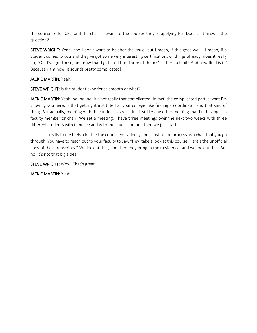the counselor for CPL, and the chair relevant to the courses they're applying for. Does that answer the question?

STEVE WRIGHT: Yeah, and I don't want to belabor the issue, but I mean, if this goes well… I mean, if a student comes to you and they've got some very interesting certifications or things already, does it really go, "Oh, I've got these, and now that I get credit for three of them?" Is there a limit? And how fluid is it? Because right now, it sounds pretty complicated!

#### JACKIE MARTIN: Yeah.

STEVE WRIGHT: Is the student experience smooth or what?

JACKIE MARTIN: Yeah, no, no, no. It's not really that complicated. In fact, the complicated part is what I'm showing you here, is that getting it instituted at your college, like finding a coordinator and that kind of thing. But actually, meeting with the student is great! It's just like any other meeting that I'm having as a faculty member or chair. We set a meeting. I have three meetings over the next two weeks with three different students with Candace and with the counselor, and then we just start…

It really to me feels a lot like the course equivalency and substitution process as a chair that you go through. You have to reach out to your faculty to say, "Hey, take a look at this course. Here's the unofficial copy of their transcripts." We look at that, and then they bring in their evidence, and we look at that. But no, it's not that big a deal.

STEVE WRIGHT: Wow. That's great.

JACKIE MARTIN: Yeah.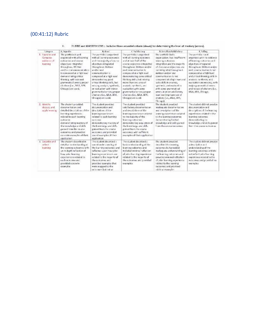## (00:41:12) Rubric

| Eategory                                                 | A. Superior                                                                                                                                                                                                                                                                                                                        | R. Good                                                                                                                                                                                                                                                                                                                                                                                                     | C.Sashkazione.                                                                                                                                                                                                                                                                                                                                                                                                                               | D. Less Hara Salisfactory                                                                                                                                                                                                                                                                                                                                                                                                                                     | E failing                                                                                                                                                                                                                                                                                                                                                                            |
|----------------------------------------------------------|------------------------------------------------------------------------------------------------------------------------------------------------------------------------------------------------------------------------------------------------------------------------------------------------------------------------------------|-------------------------------------------------------------------------------------------------------------------------------------------------------------------------------------------------------------------------------------------------------------------------------------------------------------------------------------------------------------------------------------------------------------|----------------------------------------------------------------------------------------------------------------------------------------------------------------------------------------------------------------------------------------------------------------------------------------------------------------------------------------------------------------------------------------------------------------------------------------------|---------------------------------------------------------------------------------------------------------------------------------------------------------------------------------------------------------------------------------------------------------------------------------------------------------------------------------------------------------------------------------------------------------------------------------------------------------------|--------------------------------------------------------------------------------------------------------------------------------------------------------------------------------------------------------------------------------------------------------------------------------------------------------------------------------------------------------------------------------------|
| 1. Essenine and<br>Compage<br>was seven ed.<br>learning  | The portfinin is well.<br>organized with all learning.<br>ordinaries and course.<br>objectives integrated<br>throughous. Written<br>and/or crat communication.<br>is composed at a high level<br>demonstrating critical<br>thinking with minimal<br>grammatical errorst proper<br>citations (i.e., MIA, APA,<br>Chicago] are used. | The parthsin is argumed.<br>with all learning outcomes.<br>and the majority of course<br>objectives integrated<br>throughout. Written<br>and/o' cent<br>communication is:<br>composed at a high level<br>demonstrating good<br>ontical thinking skills, but-<br>missing analysis, synthesis,<br>or evaluation with minor.<br>grammatical errors; proper<br>citations li.e., MLA, APA,<br>Chicagot are used. | The portfolio is organized<br>with all learning outcomes.<br>and at least half of the<br>course objectives integrated.<br>throughout. Written and/or<br>cital conservation is a<br>composed at a high level.<br>demonstrating some critical<br>thinking skiln, but missing<br>more than one area of<br>analysis, synthesis, ami-<br>amos riftw neithatitus<br>grammatical errors; proper<br>citations li.e., MLA, AFA.<br>Chicapot are used. | The portfolio lacks.<br>brican zation, has insufficient<br>learning multiprines.<br>integration and the majority.<br>of the course objectives are<br>to cintegrated throughout.<br>Written and/or aral<br>communication is not<br>composed at a high level and<br>lacks skills in analysis.<br>sant tests, and evaluation.<br>with some grammatical<br>arrors at an or satisfactory.<br>level and improper use of<br>citations (i.e., MLA, APA,<br>The appli- | The portfolio lived.<br>erganized with no pyldonco.<br>of feace est cottosmes and<br>objectives integrated<br>throughout. Written and/or<br>exist communication Esport-<br>eamoosed at a high level<br>and critical thinking cells in<br>analysis symbosis, and<br>evaluation are missing, with<br>major grammatical serees.<br>and no use of ellations (i.e.,<br>MLA, APA, Chicago. |
| 2. Identify,<br>dittict, and<br>anjský wsming.           | The student provided<br>bni: neltatienuppb<br>detailed descriptions of the<br>liverning experiences.<br>related to each learning<br>culicaria.<br>demonstrating mastery of<br>the knowledge and skills<br>gained from the routse.<br>outcomes and provided<br>concrete examples of their<br>explication                            | The student provided<br>documentation and<br>descriptions of the<br>learning experiences.<br>related to each learning<br>outcome<br>domonstrating mastery of<br>the knowledge and skills.<br>eatord from the course.<br>outcomes and provided<br>sound examples of their<br>aciplication                                                                                                                    | The student provided<br>satisfactory documentation<br>and descriptions of the<br>learning experiences related.<br>to the majority of this<br>learning putonmes.<br>demonstrating appusation of<br>the knowledge and skills.<br>estimatifrom the course.<br>outcomes with sufficient<br>examples of their application.                                                                                                                        | The student provided<br>inadequate documentation.<br>and descriptions of the<br>earning experiences related.<br>to the learning outcomes.<br>demonstrating limited.<br>knowledge and skills pained.<br>Form this concess carbonisms.                                                                                                                                                                                                                          | The student did not provide<br>documentation and<br>descriptions of the learning<br>experiences related to the<br>learning outcomes.<br>demonstrating no<br>knowledge and skills gained<br>hom the course outcomes.                                                                                                                                                                  |
| it. Decoribe and<br>raillier.1<br><b><i>REBITARD</i></b> | The student described in<br>detail an understanding of<br>the learning outcomes with<br>an in depth reflection of<br>how ador learning<br>experience is related to<br>each octcome and<br>provided concrete<br>cramplar.                                                                                                           | The student decembed a<br>sound onder standing of<br>the loarning outcomes and<br>reflected upon how prior.<br>levening experiences are.<br>related to the majority of<br>the aideignes, and<br>provided examples that<br>were mapped to the<br>occurred but out as                                                                                                                                         | The student described a<br>basic a wheetacaling of the<br>learning cutoemes and<br>Included minimal ration lon-<br>of print harming superiorate<br>related to the majority of<br>the outcomes and provided.<br>examples                                                                                                                                                                                                                      | The student provided<br>described the learning.<br>putcomes but provided<br>Inaduquate undarstanding of<br>the learning outcomes and<br>provided minimal reflection.<br>of other learning experience<br>related to the learning<br>buttomes and provided.<br>minimal examples.                                                                                                                                                                                | The student did not provide<br>a description and<br>understanding of the<br>laaming outcomes and did<br>suit nether typical learning.<br>experience related to the<br>eutcomes and provided no.<br>exemples                                                                                                                                                                          |

11. FLERIC and MASTERY LEVEL: Includes three essential criteria (down) for determining the level of mastery (across).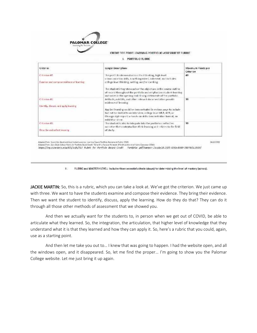

CREDIT FOR PRIOR LEARNING PORTFOLIO ASSESSMENT RUBRIC.

I. PORTFOLIO RUBRIC

| Criterian                                                | Longer Description                                                                                                                                                                                                                                                                                                                                                                                  | Maximum Points per<br>Criterion |
|----------------------------------------------------------|-----------------------------------------------------------------------------------------------------------------------------------------------------------------------------------------------------------------------------------------------------------------------------------------------------------------------------------------------------------------------------------------------------|---------------------------------|
| C-therion #1<br>Examine and compose evidence of learning | The portfolio demonstrates critical thinking, high level<br>communication skills, is well organized, coherent, and includes:<br>college level thinking, writing, and/or noetking.<br>The student integrates each of the objectives in the course outline.<br>of record throughout the portfolio and emphasizes student-learning<br>outcomes in the opening and closing statements of the portfolio. | 40 <sup>°</sup>                 |
| Citorion #2<br>Identify, discuss, and apply learning     | Artifacts, exhibits, and offier relevant documentation provide<br>evidence of learning.<br>Applied learning could be demonstrated in various ways to include.<br>but not be limited to an interview, college level MLA, APA, or<br>Chicago style report: a handy-on skills demonstration format, an-<br>rabibit or show.                                                                            | 30                              |
| Californian #5<br>Describe and reflect seaming           | The student is able to integrate into the portfolio a reflective.<br>norrative that contextualizes their learning as it celates to the field-<br>of study.                                                                                                                                                                                                                                          | 30                              |

 $\mathbf{E}(\cdot)$ RUBRIC and MASTERY LEVEL: Includes three essential criteria (down) for determining the level of mastery (across).

JACKIE MARTIN: So, this is a rubric, which you can take a look at. We've got the criterion. We just came up with three. We want to have the students examine and compose their evidence. They bring their evidence. Then we want the student to identify, discuss, apply the learning. How do they do that? They can do it through all those other methods of assessment that we showed you.

And then we actually want for the students to, in person when we get out of COVID, be able to articulate what they learned. So, the integration, the articulation, that higher level of knowledge that they understand what it is that they learned and how they can apply it. So, here's a rubric that you could, again, use as a starting point.

And then let me take you out to… I knew that was going to happen. I had the website open, and all the windows open, and it disappeared. So, let me find the proper… I'm going to show you the Palomar College website. Let me just bring it up again.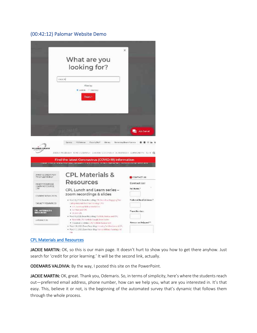#### (00:42:12) Palomar Website Demo



#### CPL Materials and Resources

JACKIE MARTIN: OK, so this is our main page. It doesn't hurt to show you how to get there anyhow. Just search for 'credit for prior learning.' It will be the second link, actually.

ODEMARIS VALDIVIA: By the way, I posted this site on the PowerPoint.

JACKIE MARTIN: OK, great. Thank you, Odemaris. So, in terms of simplicity, here's where the students reach out—preferred email address, phone number, how can we help you, what are you interested in. It's that easy. This, believe it or not, is the beginning of the automated survey that's dynamic that follows them through the whole process.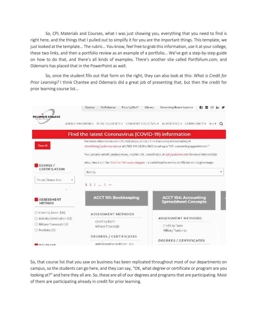So, CPL Materials and Courses, what I was just showing you, everything that you need to find is right here, and the things that I pulled out to simplify it for you are the important things. This template, we just looked at the template… The rubric… You know, feel free to grab this information, use it at your college, these two links, and then a portfolio review as an example of a portfolio… We've got a step-by-step guide on how to do that, and there's all kinds of examples. There's another site called Portfolium.com, and Odemaris has placed that in the PowerPoint as well.

So, once the student fills out that form on the right, they can also look at this: *What is Credit for Prior Learning?* I think Chantee and Odemaris did a great job of presenting that, but then the credit for prior learning course list…

|                             | MyPalomar<br>Faculty/Staff<br>Canvas                                             | Governing Board Agenda<br>Library.                                                                  |
|-----------------------------|----------------------------------------------------------------------------------|-----------------------------------------------------------------------------------------------------|
| <b>PALOMAR COLLEGE</b>      | ABOUT PALOMAR > NEW STUDENTS >                                                   | CURRENT STUDENTS » ACADEMICS » COMMUNITY »<br>$A - Z$ $A - Q$                                       |
|                             | Find the latest Coronavirus (COVID-19) information                               |                                                                                                     |
|                             | For more information and CPL next steps, contact Tina Bariolong in Counseling at |                                                                                                     |
| <b>Class All</b>            |                                                                                  | charlolong@palemar.edu or at (760) 744-1150 x 3415 to set up a "CPI, counseling appointment."       |
|                             |                                                                                  | You can also email Candace Rose, Interim CPL Coordinator, at coltispalomanedu for more information. |
| DECREE /                    |                                                                                  | Also, check out the Palomar Pathways Mapper - a useful tool to review certificate and degree maps.  |
| CERTIFICATION               | Sort by                                                                          | ٠                                                                                                   |
| Please Choose One           | 1235                                                                             |                                                                                                     |
|                             |                                                                                  |                                                                                                     |
| <b>ASSESSMENT</b><br>METHOD | <b>ACCT 101: Bookkeeping</b>                                                     | <b>ACCT 104: Accounting</b><br><b>Spreadsheet Concepts</b>                                          |
| C Credit by Exam (116)      | ASSESSMENT METHODS                                                               |                                                                                                     |
| Industry Certification (62) |                                                                                  | ASSESSMENT METHODS                                                                                  |
| C Military Transcript (53)  | Credit by Exam<br>Military Transcript                                            | Credit by Exam                                                                                      |
| O Portfolio (35)            |                                                                                  | <b>Military Transcript</b>                                                                          |
|                             | DEGREES / CERTIFICATES                                                           |                                                                                                     |
| <b>DALOLIAN</b>             | Administrative Assistant - A.S.                                                  | DECREES / CERTIFICATES                                                                              |

So, that course list that you saw on business has been replicated throughout most of our departments on campus, so the students can go here, and they can say, "OK, what degree or certificate or program are you looking at?" and here they all are. So, these are all of our degrees and programs that are participating. Most of them are participating already in credit for prior learning.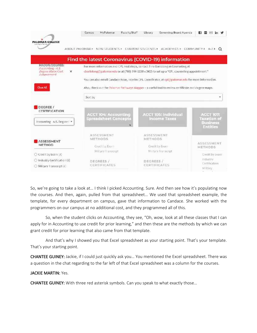

So, we're going to take a look at… I think I picked Accounting. Sure. And then see how it's populating now the courses. And then, again, pulled from that spreadsheet… We used that spreadsheet example, the template, for every department on campus, gave that information to Candace. She worked with the programmers on our campus at no additional cost, and they programmed all of this.

So, when the student clicks on Accounting, they see, "Oh, wow, look at all these classes that I can apply for in Accounting to use credit for prior learning," and then these are the methods by which we can grant credit for prior learning that also came from that template.

And that's why I showed you that Excel spreadsheet as your starting point. That's your template. That's your starting point.

CHANTEE GUINEY: Jackie, if I could just quickly ask you… You mentioned the Excel spreadsheet. There was a question in the chat regarding to the far left of that Excel spreadsheet was a column for the courses.

#### JACKIE MARTIN: Yes.

CHANTEE GUINEY: With three red asterisk symbols. Can you speak to what exactly those…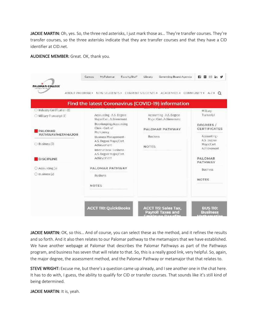JACKIE MARTIN: Oh, yes. So, the three red asterisks, I just mark those as… They're transfer courses. They're transfer courses, so the three asterisks indicate that they are transfer courses and that they have a CID identifier at CID.net.

AUDIENCE MEMBER: Great. OK, thank you.

|                                                         |                                                                  | ABOUT PALOMAR F. NEW STUDENTS F. CURRENT STUDENTS F. ACADEMICS F. COMMUNITY F. A-2 F. Q.<br>Find the latest Coronavirus (COVID-19) information |                                                          |
|---------------------------------------------------------|------------------------------------------------------------------|------------------------------------------------------------------------------------------------------------------------------------------------|----------------------------------------------------------|
| Industry Certification (3)<br>O Military Transcript (7) | Accounting A.S. Degree                                           | Accounting - A.S. Degree                                                                                                                       | Military.<br>Transcript                                  |
|                                                         | Major/Cert. Achievement                                          | Major/Cert, Achievement                                                                                                                        |                                                          |
| PALOMAR                                                 | Bookkeeping/Accounting<br>Clerk-Cert.cf<br>Proficiency           | PALOMAR PATHWAY                                                                                                                                | DEGREES /<br><b>CERTIFICATES</b>                         |
| PATHWAY/METAMAJOR<br>$\bigcirc$ Business (7)            | Business Management-<br>A.S. Degree Major/Cert.<br>Achievament   | <b>Business</b><br><b>NOTES</b>                                                                                                                | Accounting -<br>A.S. Degree<br>Major/Cert<br>Arhievement |
| DISCIPLINE                                              | International Business<br>A.S. Degree Major/Cert.<br>Achievement |                                                                                                                                                | PALOMAR<br><b>PATHWAY</b>                                |
| C Accounting (5)                                        | PALOMAR PATHWAY                                                  |                                                                                                                                                | Business.                                                |
| O Business (2)                                          | <b>Business</b>                                                  |                                                                                                                                                | <b>NOTES</b>                                             |
|                                                         | NOTES                                                            |                                                                                                                                                |                                                          |

JACKIE MARTIN: OK, so this... And of course, you can select these as the method, and it refines the results and so forth. And it also then relates to our Palomar pathway to the metamajors that we have established. We have another webpage at Palomar that describes the Palomar Pathways as part of the Pathways program, and business has seven that will relate to that. So, this is a really good link, very helpful. So, again, the major degree, the assessment method, and the Palomar Pathway or metamajor that that relates to.

STEVE WRIGHT: Excuse me, but there's a question came up already, and I see another one in the chat here. It has to do with, I guess, the ability to qualify for CID or transfer courses. That sounds like it's still kind of being determined.

JACKIE MARTIN: It is, yeah.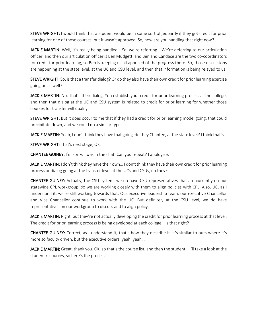STEVE WRIGHT: I would think that a student would be in some sort of jeopardy if they got credit for prior learning for one of those courses, but it wasn't approved. So, how are you handling that right now?

JACKIE MARTIN: Well, it's really being handled… So, we're referring… We're deferring to our articulation officer, and then our articulation officer is Ben Mudgett, and Ben and Candace are the two co-coordinators for credit for prior learning, so Ben is keeping us all apprised of the progress there. So, those discussions are happening at the state level, at the UC and CSU level, and then that information is being relayed to us.

STEVE WRIGHT: So, is that a transfer dialog? Or do they also have their own credit for prior learning exercise going on as well?

JACKIE MARTIN: No. That's their dialog. You establish your credit for prior learning process at the college, and then that dialog at the UC and CSU system is related to credit for prior learning for whether those courses for transfer will qualify.

**STEVE WRIGHT:** But it does occur to me that if they had a credit for prior learning model going, that could precipitate down, and we could do a similar type…

JACKIE MARTIN: Yeah, I don't think they have that going, do they Chantee, at the state level? I think that's...

STEVE WRIGHT: That's next stage, OK.

CHANTEE GUINEY: I'm sorry. I was in the chat. Can you repeat? I apologize.

JACKIE MARTIN: I don't think they have their own... I don't think they have their own credit for prior learning process or dialog going at the transfer level at the UCs and CSUs, do they?

CHANTEE GUINEY: Actually, the CSU system, we do have CSU representatives that are currently on our statewide CPL workgroup, so we are working closely with them to align policies with CPL. Also, UC, as I understand it, we're still working towards that. Our executive leadership team, our executive Chancellor and Vice Chancellor continue to work with the UC. But definitely at the CSU level, we do have representatives on our workgroup to discuss and to align policy.

JACKIE MARTIN: Right, but they're not actually developing the credit for prior learning process at that level. The credit for prior learning process is being developed at each college—is that right?

CHANTEE GUINEY: Correct, as I understand it, that's how they describe it. It's similar to ours where it's more so faculty driven, but the executive orders, yeah, yeah…

JACKIE MARTIN: Great, thank you. OK, so that's the course list, and then the student... I'll take a look at the student resources, so here's the process…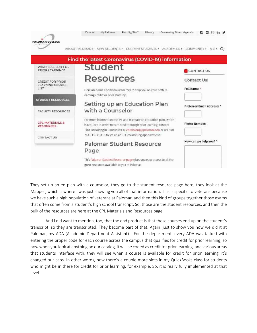

They set up an ed plan with a counselor, they go to the student resource page here, they look at the Mapper, which is where I was just showing you all of that information. This is specific to veterans because we have such a high population of veterans at Palomar, and then this kind of groups together those exams that often come from a student's high school transcript. So, those are the student resources, and then the bulk of the resources are here at the CPL Materials and Resources page.

And I did want to mention, too, that the end product is that these courses end up on the student's transcript, so they are transcripted. They become part of that. Again, just to show you how we did it at Palomar, my ADA (Academic Department Assistant)… For the department, every ADA was tasked with entering the proper code for each course across the campus that qualifies for credit for prior learning, so now when you look at anything on our catalog, it will be coded as credit for prior learning, and various areas that students interface with, they will see when a course is available for credit for prior learning, it's changed our caps. In other words, now there's a couple more slots in my QuickBooks class for students who might be in there for credit for prior learning, for example. So, it is really fully implemented at that level.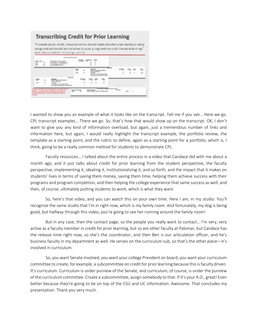#### **Transcribing Credit for Prior Learning** "If awards are for credit, transcript entries should clearly describe what learning is being recognized and should be monitored to avoid giving credit twice for the same learning." ACCIC Policy on Credit for Prior Learning, June 2020 **Salar** Be Ë ŧ **Litter** TRACK TOOK AS ÷, leggi ng. ×. AND CHINESE TO A TOLERATIONS **THING** 씝

I wanted to show you an example of what it looks like on the transcript. Tell me if you see… Here we go. CPL transcript examples… There we go. So, that's how that would show up on the transcript. OK, I don't want to give you any kind of information overload, but again, just a tremendous number of links and information here, but again, I would really highlight the transcript example, the portfolio review, the template as a starting point, and the rubric to define, again as a starting point for a portfolio, which is, I think, going to be a really common method for students to demonstrate CPL.

Faculty resources… I talked about the entire process in a video that Candace did with me about a month ago, and it just talks about credit for prior learning from the student perspective, the faculty perspective, implementing it, ideating it, institutionalizing it, and so forth, and the impact that it makes on students' lives in terms of saving them money, saving them time, helping them achieve success with their programs and program completion, and then helping the college experience that same success as well, and then, of course, ultimately putting students to work, which is what they want.

So, here's that video, and you can watch this on your own time. Here I am, in my studio. You'll recognize the same studio that I'm in right now, which is my family room. And fortunately, my dog is being good, but halfway through this video, you're going to see her running around the family room!

But in any case, then the contact page, so the people you really want to contact… I'm very, very active as a faculty member in credit for prior learning, but so are other faculty at Palomar, but Candace has the release time right now, so she's the coordinator, and then Ben is our articulation officer, and he's business faculty in my department as well. He serves on the curriculum sub, so that's the other piece—it's involved in curriculum.

So, you want Senate involved, you want your college President on board, you want your curriculum committee to create, for example, a subcommittee on credit for prior learning because this is faculty driven. It's curriculum. Curriculum is under purview of the Senate, and curriculum, of course, is under the purview of the curriculum committee. Create a subcommittee, assign somebody to that. If it's your A.O., great! Even better because they're going to be on top of the CSU and UC information. Awesome. That concludes my presentation. Thank you very much.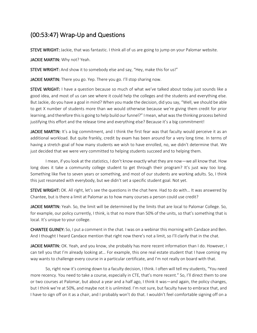## (00:53:47) Wrap-Up and Questions

**STEVE WRIGHT:** Jackie, that was fantastic. I think all of us are going to jump on your Palomar website.

JACKIE MARTIN: Why not? Yeah.

STEVE WRIGHT: And show it to somebody else and say, "Hey, make this for us!"

JACKIE MARTIN: There you go. Yep. There you go. I'll stop sharing now.

STEVE WRIGHT: I have a question because so much of what we've talked about today just sounds like a good idea, and most of us can see where it could help the colleges and the students and everything else. But Jackie, do you have a goal in mind? When you made the decision, did you say, "Well, we should be able to get X number of students more than we would otherwise because we're giving them credit for prior learning, and therefore this is going to help build our funnel?" I mean, what was the thinking process behind justifying this effort and the release time and everything else? Because it's a big commitment!

JACKIE MARTIN: It's a big commitment, and I think the first fear was that faculty would perceive it as an additional workload. But quite frankly, credit by exam has been around for a very long time. In terms of having a stretch goal of how many students we wish to have enrolled, no, we didn't determine that. We just decided that we were very committed to helping students succeed and to helping them.

I mean, if you look at the statistics, I don't know exactly what they are now—we all know that. How long does it take a community college student to get through their program? It's just way too long. Something like five to seven years or something, and most of our students are working adults. So, I think this just resonated with everybody, but we didn't set a specific student goal. Not yet.

STEVE WRIGHT: OK. All right, let's see the questions in the chat here. Had to do with… It was answered by Chantee, but is there a limit at Palomar as to how many courses a person could use credit?

JACKIE MARTIN: Yeah. So, the limit will be determined by the limits that are local to Palomar College. So, for example, our policy currently, I think, is that no more than 50% of the units, so that's something that is local. It's unique to your college.

CHANTEE GUINEY: So, I put a comment in the chat. I was on a webinar this morning with Candace and Ben. And I thought I heard Candace mention that right now there's not a limit, so I'll clarify that in the chat.

JACKIE MARTIN: OK. Yeah, and you know, she probably has more recent information than I do. However, I can tell you that I'm already looking at… For example, this one real estate student that I have coming my way wants to challenge every course in a particular certificate, and I'm not really on board with that.

So, right now it's coming down to a faculty decision, I think. I often will tell my students, "You need more recency. You need to take a course, especially in CTE, that's more recent." So, I'll direct them to one or two courses at Palomar, but about a year and a half ago, I think it was—and again, the policy changes, but I think we're at 50%, and maybe not it is unlimited. I'm not sure, but faculty have to embrace that, and I have to sign off on it as a chair, and I probably won't do that. I wouldn't feel comfortable signing off on a